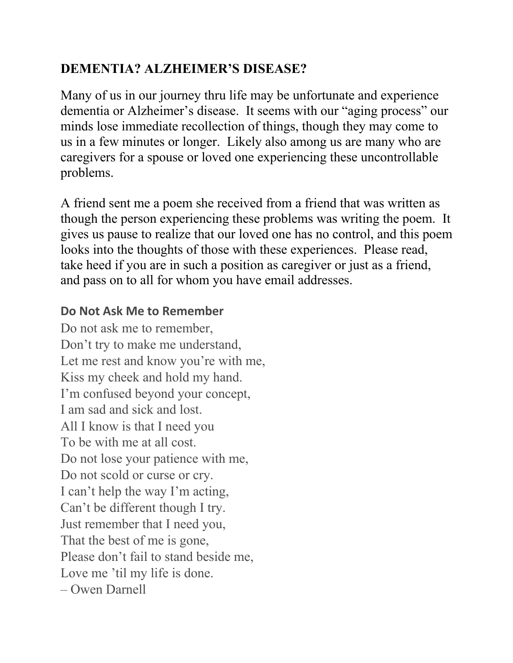## **DEMENTIA? ALZHEIMER'S DISEASE?**

Many of us in our journey thru life may be unfortunate and experience dementia or Alzheimer's disease. It seems with our "aging process" our minds lose immediate recollection of things, though they may come to us in a few minutes or longer. Likely also among us are many who are caregivers for a spouse or loved one experiencing these uncontrollable problems.

A friend sent me a poem she received from a friend that was written as though the person experiencing these problems was writing the poem. It gives us pause to realize that our loved one has no control, and this poem looks into the thoughts of those with these experiences. Please read, take heed if you are in such a position as caregiver or just as a friend, and pass on to all for whom you have email addresses.

## **Do Not Ask Me to Remember**

Do not ask me to remember, Don't try to make me understand, Let me rest and know you're with me, Kiss my cheek and hold my hand. I'm confused beyond your concept, I am sad and sick and lost. All I know is that I need you To be with me at all cost. Do not lose your patience with me, Do not scold or curse or cry. I can't help the way I'm acting, Can't be different though I try. Just remember that I need you, That the best of me is gone, Please don't fail to stand beside me, Love me 'til my life is done. – Owen Darnell